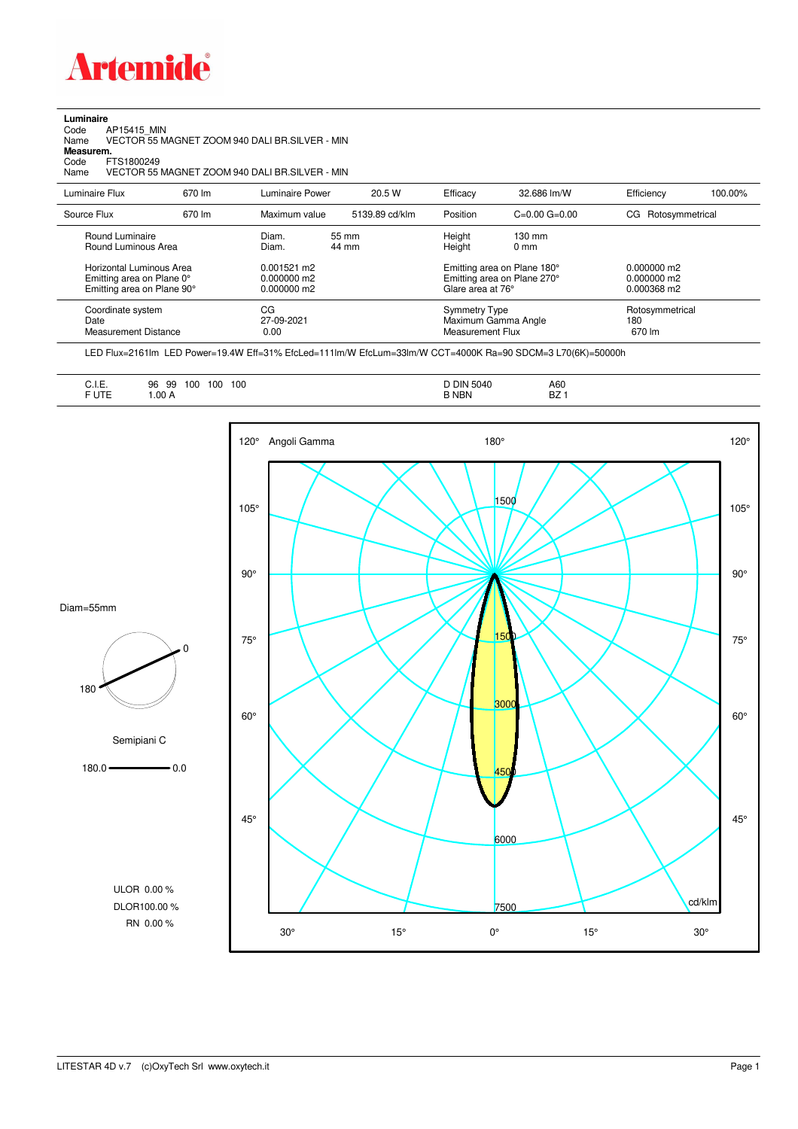

**Luminaire**<br>Code /<br>Name Code AP15415\_MIN Name VECTOR 55 MAGNET ZOOM 940 DALI BR.SILVER - MIN **Measurem.**

Code FTS1800249<br>Name VECTOR 55 Name VECTOR 55 MAGNET ZOOM 940 DALI BR.SILVER - MIN

| Luminaire Flux                                                                                  | 670 lm | Luminaire Power                                  | 20.5 W         | Efficacy | 32.686 lm/W                                                                                                          | Efficiency            | 100.00%         |
|-------------------------------------------------------------------------------------------------|--------|--------------------------------------------------|----------------|----------|----------------------------------------------------------------------------------------------------------------------|-----------------------|-----------------|
| Source Flux                                                                                     | 670 lm | Maximum value                                    | 5139.89 cd/klm | Position | $C=0.00$ $G=0.00$                                                                                                    | Rotosymmetrical<br>CG |                 |
| Round Luminaire<br>Round Luminous Area<br>Horizontal Luminous Area<br>Emitting area on Plane 0° |        | Diam.<br>Diam.<br>$0.001521$ m2<br>$0.000000$ m2 | 55 mm<br>44 mm |          | Height<br>$130 \text{ mm}$<br>Height<br>$0 \text{ mm}$<br>Emitting area on Plane 180°<br>Emitting area on Plane 270° |                       |                 |
| Emitting area on Plane 90°                                                                      |        | $0.000000$ m2                                    |                |          | Glare area at 76°                                                                                                    | 0.000368 m2           |                 |
| Coordinate system<br>Date<br><b>Measurement Distance</b>                                        |        | CG<br>27-09-2021<br>0.00                         |                |          | Symmetry Type<br>Maximum Gamma Angle<br>Measurement Flux                                                             |                       | Rotosymmetrical |

LED Flux=2161lm LED Power=19.4W Eff=31% EfcLed=111lm/W EfcLum=33lm/W CCT=4000K Ra=90 SDCM=3 L70(6K)=50000h

| A60<br>100<br>100<br>96<br>-99<br>◡…<br>$\sim$ $\sim$ $\sim$ $\sim$ $\sim$ $\sim$<br>.<br>$ -$<br>$-$<br>F UTE<br>B NBN<br><b>BZ</b><br>.00A |
|----------------------------------------------------------------------------------------------------------------------------------------------|
|----------------------------------------------------------------------------------------------------------------------------------------------|